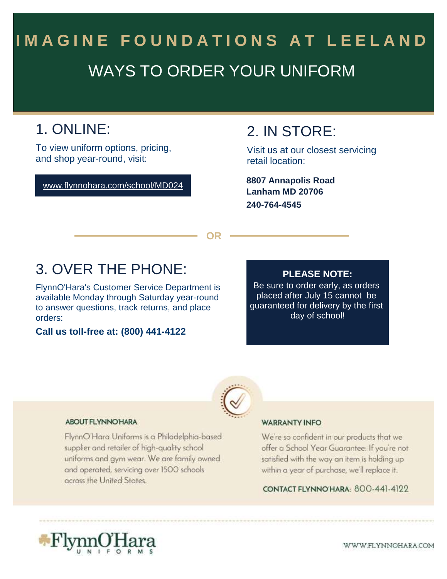# WAYS TO ORDER YOUR UNIFORM **IMAGINE FOUNDATIONS AT LEELAND**

# 1. ONLINE:

To view uniform options, pricing, and shop year-round, visit:

www.flynnohara.com/school/MD024

### 2. IN STORE:

Visit us at our closest servicing retail location:

**Lanham MD 20706 240-764-4545 8807 Annapolis Road**

**OR**

## 3. OVER THE PHONE:

FlynnO'Hara's Customer Service Department is available Monday through Saturday year-round to answer questions, track returns, and place orders:

### **Call us toll-free at: (800) 441-4122**

### **PLEASE NOTE:**

Be sure to order early, as orders placed after July 15 cannot be guaranteed for delivery by the first day of school!



#### **ABOUT FLYNNOHARA**

FlynnO'Hara Uniforms is a Philadelphia-based supplier and retailer of high-quality school uniforms and gym wear. We are family owned and operated, servicing over 1500 schools across the United States.

#### **WARRANTY INFO**

We're so confident in our products that we offer a School Year Guarantee: If you're not satisfied with the way an item is holding up within a year of purchase, we'll replace it.

CONTACT FLYNNO HARA: 800-441-4122



WWW.FLYNNOHARA.COM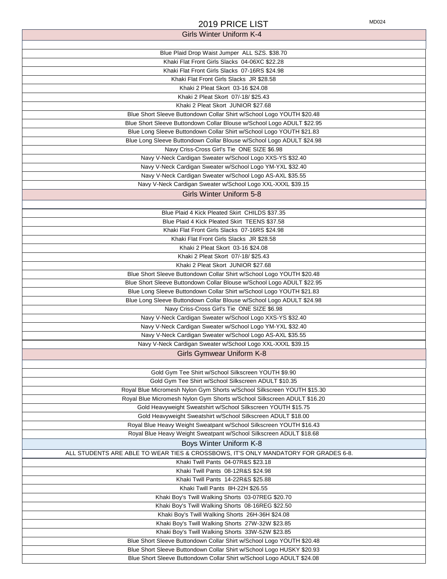| 2019 PRICE LIST                                                                     | MD024 |
|-------------------------------------------------------------------------------------|-------|
| <b>Girls Winter Uniform K-4</b>                                                     |       |
|                                                                                     |       |
| Blue Plaid Drop Waist Jumper ALL SZS. \$38.70                                       |       |
| Khaki Flat Front Girls Slacks 04-06XC \$22.28                                       |       |
| Khaki Flat Front Girls Slacks 07-16RS \$24.98                                       |       |
| Khaki Flat Front Girls Slacks JR \$28.58                                            |       |
| Khaki 2 Pleat Skort 03-16 \$24.08                                                   |       |
| Khaki 2 Pleat Skort 07/-18/ \$25.43                                                 |       |
| Khaki 2 Pleat Skort JUNIOR \$27.68                                                  |       |
| Blue Short Sleeve Buttondown Collar Shirt w/School Logo YOUTH \$20.48               |       |
| Blue Short Sleeve Buttondown Collar Blouse w/School Logo ADULT \$22.95              |       |
| Blue Long Sleeve Buttondown Collar Shirt w/School Logo YOUTH \$21.83                |       |
| Blue Long Sleeve Buttondown Collar Blouse w/School Logo ADULT \$24.98               |       |
| Navy Criss-Cross Girl's Tie ONE SIZE \$6.98                                         |       |
| Navy V-Neck Cardigan Sweater w/School Logo XXS-YS \$32.40                           |       |
| Navy V-Neck Cardigan Sweater w/School Logo YM-YXL \$32.40                           |       |
| Navy V-Neck Cardigan Sweater w/School Logo AS-AXL \$35.55                           |       |
| Navy V-Neck Cardigan Sweater w/School Logo XXL-XXXL \$39.15                         |       |
| <b>Girls Winter Uniform 5-8</b>                                                     |       |
|                                                                                     |       |
| Blue Plaid 4 Kick Pleated Skirt CHILDS \$37.35                                      |       |
| Blue Plaid 4 Kick Pleated Skirt TEENS \$37.58                                       |       |
| Khaki Flat Front Girls Slacks 07-16RS \$24.98                                       |       |
| Khaki Flat Front Girls Slacks JR \$28.58                                            |       |
| Khaki 2 Pleat Skort 03-16 \$24.08                                                   |       |
| Khaki 2 Pleat Skort 07/-18/ \$25.43                                                 |       |
| Khaki 2 Pleat Skort JUNIOR \$27.68                                                  |       |
| Blue Short Sleeve Buttondown Collar Shirt w/School Logo YOUTH \$20.48               |       |
| Blue Short Sleeve Buttondown Collar Blouse w/School Logo ADULT \$22.95              |       |
| Blue Long Sleeve Buttondown Collar Shirt w/School Logo YOUTH \$21.83                |       |
| Blue Long Sleeve Buttondown Collar Blouse w/School Logo ADULT \$24.98               |       |
| Navy Criss-Cross Girl's Tie ONE SIZE \$6.98                                         |       |
| Navy V-Neck Cardigan Sweater w/School Logo XXS-YS \$32.40                           |       |
| Navy V-Neck Cardigan Sweater w/School Logo YM-YXL \$32.40                           |       |
| Navy V-Neck Cardigan Sweater w/School Logo AS-AXL \$35.55                           |       |
| Navy V-Neck Cardigan Sweater w/School Logo XXL-XXXL \$39.15                         |       |
| <b>Girls Gymwear Uniform K-8</b>                                                    |       |
|                                                                                     |       |
| Gold Gym Tee Shirt w/School Silkscreen YOUTH \$9.90                                 |       |
| Gold Gym Tee Shirt w/School Silkscreen ADULT \$10.35                                |       |
| Royal Blue Micromesh Nylon Gym Shorts w/School Silkscreen YOUTH \$15.30             |       |
| Royal Blue Micromesh Nylon Gym Shorts w/School Silkscreen ADULT \$16.20             |       |
| Gold Heavyweight Sweatshirt w/School Silkscreen YOUTH \$15.75                       |       |
| Gold Heavyweight Sweatshirt w/School Silkscreen ADULT \$18.00                       |       |
| Royal Blue Heavy Weight Sweatpant w/School Silkscreen YOUTH \$16.43                 |       |
| Royal Blue Heavy Weight Sweatpant w/School Silkscreen ADULT \$18.68                 |       |
| Boys Winter Uniform K-8                                                             |       |
| ALL STUDENTS ARE ABLE TO WEAR TIES & CROSSBOWS, IT'S ONLY MANDATORY FOR GRADES 6-8. |       |
| Khaki Twill Pants 04-07R&S \$23.18                                                  |       |
| Khaki Twill Pants 08-12R&S \$24.98                                                  |       |
| Khaki Twill Pants 14-22R&S \$25.88                                                  |       |
| Khaki Twill Pants 8H-22H \$26.55                                                    |       |
| Khaki Boy's Twill Walking Shorts 03-07REG \$20.70                                   |       |
| Khaki Boy's Twill Walking Shorts 08-16REG \$22.50                                   |       |
| Khaki Boy's Twill Walking Shorts 26H-36H \$24.08                                    |       |
| Khaki Boy's Twill Walking Shorts 27W-32W \$23.85                                    |       |
| Khaki Boy's Twill Walking Shorts 33W-52W \$23.85                                    |       |
| Blue Short Sleeve Buttondown Collar Shirt w/School Logo YOUTH \$20.48               |       |
| Blue Short Sleeve Buttondown Collar Shirt w/School Logo HUSKY \$20.93               |       |
| Blue Short Sleeve Buttondown Collar Shirt w/School Logo ADULT \$24.08               |       |
|                                                                                     |       |